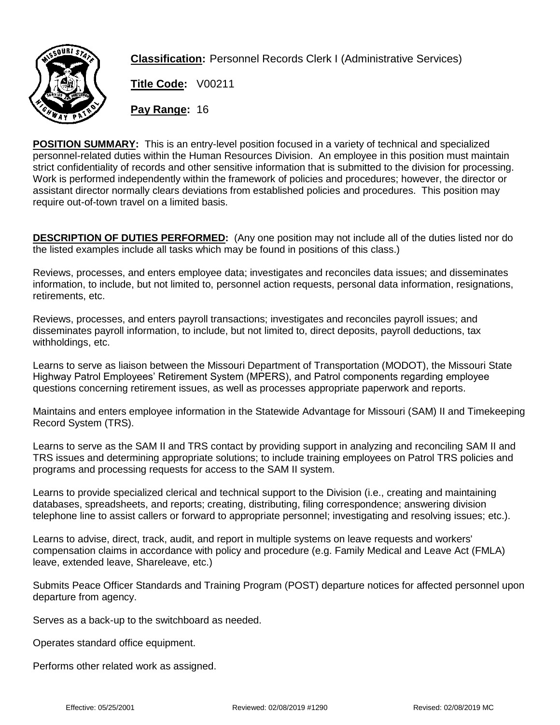

**Classification:** Personnel Records Clerk I (Administrative Services)

**Title Code:** V00211

**Pay Range:** 16

**POSITION SUMMARY:** This is an entry-level position focused in a variety of technical and specialized personnel-related duties within the Human Resources Division. An employee in this position must maintain strict confidentiality of records and other sensitive information that is submitted to the division for processing. Work is performed independently within the framework of policies and procedures; however, the director or assistant director normally clears deviations from established policies and procedures. This position may require out-of-town travel on a limited basis.

**DESCRIPTION OF DUTIES PERFORMED:** (Any one position may not include all of the duties listed nor do the listed examples include all tasks which may be found in positions of this class.)

Reviews, processes, and enters employee data; investigates and reconciles data issues; and disseminates information, to include, but not limited to, personnel action requests, personal data information, resignations, retirements, etc.

Reviews, processes, and enters payroll transactions; investigates and reconciles payroll issues; and disseminates payroll information, to include, but not limited to, direct deposits, payroll deductions, tax withholdings, etc.

Learns to serve as liaison between the Missouri Department of Transportation (MODOT), the Missouri State Highway Patrol Employees' Retirement System (MPERS), and Patrol components regarding employee questions concerning retirement issues, as well as processes appropriate paperwork and reports.

Maintains and enters employee information in the Statewide Advantage for Missouri (SAM) II and Timekeeping Record System (TRS).

Learns to serve as the SAM II and TRS contact by providing support in analyzing and reconciling SAM II and TRS issues and determining appropriate solutions; to include training employees on Patrol TRS policies and programs and processing requests for access to the SAM II system.

Learns to provide specialized clerical and technical support to the Division (i.e., creating and maintaining databases, spreadsheets, and reports; creating, distributing, filing correspondence; answering division telephone line to assist callers or forward to appropriate personnel; investigating and resolving issues; etc.).

Learns to advise, direct, track, audit, and report in multiple systems on leave requests and workers' compensation claims in accordance with policy and procedure (e.g. Family Medical and Leave Act (FMLA) leave, extended leave, Shareleave, etc.)

Submits Peace Officer Standards and Training Program (POST) departure notices for affected personnel upon departure from agency.

Serves as a back-up to the switchboard as needed.

Operates standard office equipment.

Performs other related work as assigned.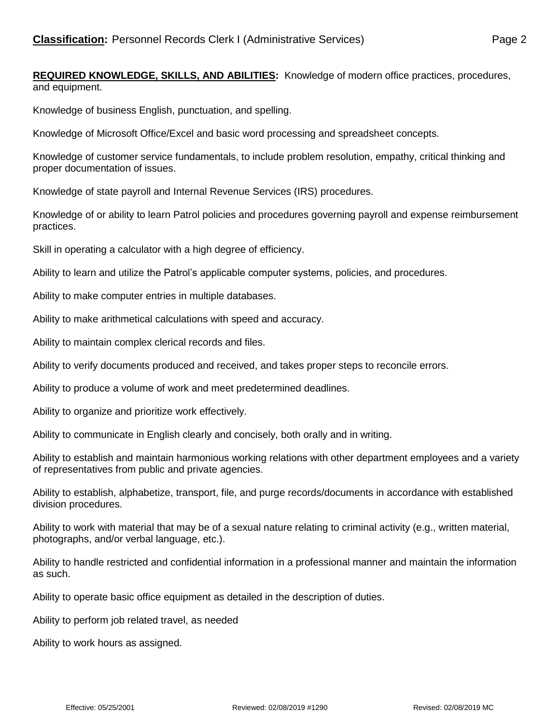**REQUIRED KNOWLEDGE, SKILLS, AND ABILITIES:** Knowledge of modern office practices, procedures, and equipment.

Knowledge of business English, punctuation, and spelling.

Knowledge of Microsoft Office/Excel and basic word processing and spreadsheet concepts.

Knowledge of customer service fundamentals, to include problem resolution, empathy, critical thinking and proper documentation of issues.

Knowledge of state payroll and Internal Revenue Services (IRS) procedures.

Knowledge of or ability to learn Patrol policies and procedures governing payroll and expense reimbursement practices.

Skill in operating a calculator with a high degree of efficiency.

Ability to learn and utilize the Patrol's applicable computer systems, policies, and procedures.

Ability to make computer entries in multiple databases.

Ability to make arithmetical calculations with speed and accuracy.

Ability to maintain complex clerical records and files.

Ability to verify documents produced and received, and takes proper steps to reconcile errors.

Ability to produce a volume of work and meet predetermined deadlines.

Ability to organize and prioritize work effectively.

Ability to communicate in English clearly and concisely, both orally and in writing.

Ability to establish and maintain harmonious working relations with other department employees and a variety of representatives from public and private agencies.

Ability to establish, alphabetize, transport, file, and purge records/documents in accordance with established division procedures.

Ability to work with material that may be of a sexual nature relating to criminal activity (e.g., written material, photographs, and/or verbal language, etc.).

Ability to handle restricted and confidential information in a professional manner and maintain the information as such.

Ability to operate basic office equipment as detailed in the description of duties.

Ability to perform job related travel, as needed

Ability to work hours as assigned.